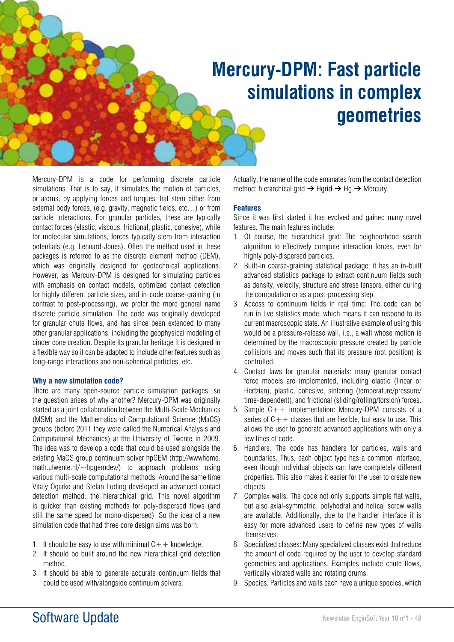# **Mercury-DPM: Fast particle simulations in complex geometries**

Mercury-DPM is a code for performing discrete particle simulations. That is to say, it simulates the motion of particles, or atoms, by applying forces and torques that stem either from external body forces, (e.g. gravity, magnetic fields, etc…) or from particle interactions. For granular particles, these are typically contact forces (elastic, viscous, frictional, plastic, cohesive), while for molecular simulations, forces typically stem from interaction potentials (e.g. Lennard-Jones). Often the method used in these packages is referred to as the discrete element method (DEM), which was originally designed for geotechnical applications. However, as Mercury-DPM is designed for simulating particles with emphasis on contact models, optimized contact detection for highly different particle sizes, and in-code coarse-graining (in contrast to post-processing), we prefer the more general name discrete particle simulation. The code was originally developed for granular chute flows, and has since been extended to many other granular applications, including the geophysical modeling of cinder cone creation. Despite its granular heritage it is designed in a flexible way so it can be adapted to include other features such as long-range interactions and non-spherical particles, etc.

#### **Why a new simulation code?**

There are many open-source particle simulation packages, so the question arises of why another? Mercury-DPM was originally started as a joint collaboration between the Multi-Scale Mechanics (MSM) and the Mathematics of Computational Science (MaCS) groups (before 2011 they were called the Numerical Analysis and Computational Mechanics) at the University of Twente in 2009. The idea was to develop a code that could be used alongside the existing MaCS group continuum solver hpGEM (http://wwwhome. math.utwente.nl/~hpgemdev/) to approach problems using various multi-scale computational methods. Around the same time Vitaly Ogarko and Stefan Luding developed an advanced contact detection method: the hierarchical grid. This novel algorithm is quicker than existing methods for poly-dispersed flows (and still the same speed for mono-dispersed). So the idea of a new simulation code that had three core design aims was born:

- 1. It should be easy to use with minimal  $C++$  knowledge.
- 2. It should be built around the new hierarchical grid detection method.
- 3. It should be able to generate accurate continuum fields that could be used with/alongside continuum solvers.

Actually, the name of the code emanates from the contact detection method: hierarchical grid  $\rightarrow$  Hgrid  $\rightarrow$  Hg  $\rightarrow$  Mercury.

### **Features**

Since it was first started it has evolved and gained many novel features. The main features include:

- 1. Of course, the hierarchical grid: The neighborhood search algorithm to effectively compute interaction forces, even for highly poly-dispersed particles.
- 2. Built-in coarse-graining statistical package: it has an in-built advanced statistics package to extract continuum fields such as density, velocity, structure and stress tensors, either during the computation or as a post-processing step.
- 3. Access to continuum fields in real time: The code can be run in live statistics mode, which means it can respond to its current macroscopic state. An illustrative example of using this would be a pressure-release wall, i.e., a wall whose motion is determined by the macroscopic pressure created by particle collisions and moves such that its pressure (not position) is controlled.
- 4. Contact laws for granular materials: many granular contact force models are implemented, including elastic (linear or Hertzian), plastic, cohesive, sintering (temperature/pressure/ time-dependent), and frictional (sliding/rolling/torsion) forces.
- 5. Simple  $C++$  implementation: Mercury-DPM consists of a series of  $C++$  classes that are flexible, but easy to use. This allows the user to generate advanced applications with only a few lines of code.
- 6. Handlers: The code has handlers for particles, walls and boundaries. Thus, each object type has a common interface, even though individual objects can have completely different properties. This also makes it easier for the user to create new objects.
- 7. Complex walls: The code not only supports simple flat walls, but also axial-symmetric, polyhedral and helical screw walls are available. Additionally, due to the handler interface it is easy for more advanced users to define new types of walls themselves.
- 8. Specialized classes: Many specialized classes exist that reduce the amount of code required by the user to develop standard geometries and applications. Examples include chute flows, vertically vibrated walls and rotating drums.
- 9. Species: Particles and walls each have a unique species, which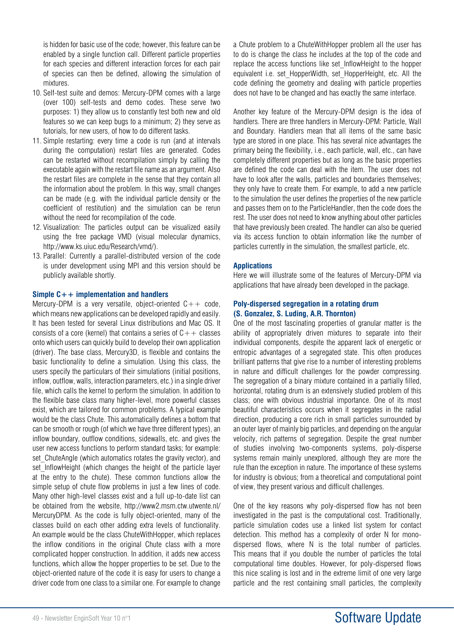is hidden for basic use of the code; however, this feature can be enabled by a single function call. Different particle properties for each species and different interaction forces for each pair of species can then be defined, allowing the simulation of mixtures.

- 10. Self-test suite and demos: Mercury-DPM comes with a large (over 100) self-tests and demo codes. These serve two purposes: 1) they allow us to constantly test both new and old features so we can keep bugs to a minimum; 2) they serve as tutorials, for new users, of how to do different tasks.
- 11. Simple restarting: every time a code is run (and at intervals during the computation) restart files are generated. Codes can be restarted without recompilation simply by calling the executable again with the restart file name as an argument. Also the restart files are complete in the sense that they contain all the information about the problem. In this way, small changes can be made (e.g. with the individual particle density or the coefficient of restitution) and the simulation can be rerun without the need for recompilation of the code.
- 12. Visualization: The particles output can be visualized easily using the free package VMD (visual molecular dynamics, http://www.ks.uiuc.edu/Research/vmd/).
- 13. Parallel: Currently a parallel-distributed version of the code is under development using MPI and this version should be publicly available shortly.

### **Simple C++ implementation and handlers**

Mercury-DPM is a very versatile, object-oriented  $C++$  code, which means new applications can be developed rapidly and easily. It has been tested for several Linux distributions and Mac OS. It consists of a core (kernel) that contains a series of  $C++$  classes onto which users can quickly build to develop their own application (driver). The base class, Mercury3D, is flexible and contains the basic functionality to define a simulation. Using this class, the users specify the particulars of their simulations (initial positions, inflow, outflow, walls, interaction parameters, etc.) in a single driver file, which calls the kernel to perform the simulation. In addition to the flexible base class many higher-level, more powerful classes exist, which are tailored for common problems. A typical example would be the class Chute. This automatically defines a bottom that can be smooth or rough (of which we have three different types), an inflow boundary, outflow conditions, sidewalls, etc. and gives the user new access functions to perform standard tasks; for example: set ChuteAngle (which automatics rotates the gravity vector), and set InflowHeight (which changes the height of the particle layer at the entry to the chute). These common functions allow the simple setup of chute flow problems in just a few lines of code. Many other high-level classes exist and a full up-to-date list can be obtained from the website, http://www2.msm.ctw.utwente.nl/ MercuryDPM. As the code is fully object-oriented, many of the classes build on each other adding extra levels of functionality. An example would be the class ChuteWithHopper, which replaces the inflow conditions in the original Chute class with a more complicated hopper construction. In addition, it adds new access functions, which allow the hopper properties to be set. Due to the object-oriented nature of the code it is easy for users to change a driver code from one class to a similar one. For example to change a Chute problem to a ChuteWithHopper problem all the user has to do is change the class he includes at the top of the code and replace the access functions like set\_InflowHeight to the hopper equivalent i.e. set\_HopperWidth, set\_HopperHeight, etc. All the code defining the geometry and dealing with particle properties does not have to be changed and has exactly the same interface.

Another key feature of the Mercury-DPM design is the idea of handlers. There are three handlers in Mercury-DPM: Particle, Wall and Boundary. Handlers mean that all items of the same basic type are stored in one place. This has several nice advantages the primary being the flexibility, i.e., each particle, wall, etc., can have completely different properties but as long as the basic properties are defined the code can deal with the item. The user does not have to look after the walls, particles and boundaries themselves; they only have to create them. For example, to add a new particle to the simulation the user defines the properties of the new particle and passes them on to the ParticleHandler, then the code does the rest. The user does not need to know anything about other particles that have previously been created. The handler can also be queried via its access function to obtain information like the number of particles currently in the simulation, the smallest particle, etc.

### **Applications**

Here we will illustrate some of the features of Mercury-DPM via applications that have already been developed in the package.

### **Poly-dispersed segregation in a rotating drum (S. Gonzalez, S. Luding, A.R. Thornton)**

One of the most fascinating properties of granular matter is the ability of appropriately driven mixtures to separate into their individual components, despite the apparent lack of energetic or entropic advantages of a segregated state. This often produces brilliant patterns that give rise to a number of interesting problems in nature and difficult challenges for the powder compressing. The segregation of a binary mixture contained in a partially filled, horizontal, rotating drum is an extensively studied problem of this class; one with obvious industrial importance. One of its most beautiful characteristics occurs when it segregates in the radial direction, producing a core rich in small particles surrounded by an outer layer of mainly big particles, and depending on the angular velocity, rich patterns of segregation. Despite the great number of studies involving two-components systems, poly-disperse systems remain mainly unexplored, although they are more the rule than the exception in nature. The importance of these systems for industry is obvious; from a theoretical and computational point of view, they present various and difficult challenges.

One of the key reasons why poly-dispersed flow has not been investigated in the past is the computational cost. Traditionally, particle simulation codes use a linked list system for contact detection. This method has a complexity of order N for monodispersed flows, where N is the total number of particles. This means that if you double the number of particles the total computational time doubles. However, for poly-dispersed flows this nice scaling is lost and in the extreme limit of one very large particle and the rest containing small particles, the complexity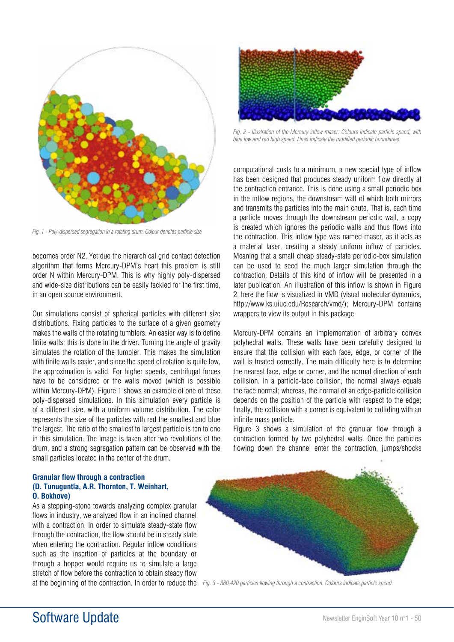

*Fig. 1 - Poly-dispersed segregation in a rotating drum. Colour denotes particle size*

becomes order N2. Yet due the hierarchical grid contact detection algorithm that forms Mercury-DPM's heart this problem is still order N within Mercury-DPM. This is why highly poly-dispersed and wide-size distributions can be easily tackled for the first time, in an open source environment.

Our simulations consist of spherical particles with different size distributions. Fixing particles to the surface of a given geometry makes the walls of the rotating tumblers. An easier way is to define finite walls; this is done in the driver. Turning the angle of gravity simulates the rotation of the tumbler. This makes the simulation with finite walls easier, and since the speed of rotation is quite low, the approximation is valid. For higher speeds, centrifugal forces have to be considered or the walls moved (which is possible within Mercury-DPM). Figure 1 shows an example of one of these poly-dispersed simulations. In this simulation every particle is of a different size, with a uniform volume distribution. The color represents the size of the particles with red the smallest and blue the largest. The ratio of the smallest to largest particle is ten to one in this simulation. The image is taken after two revolutions of the drum, and a strong segregation pattern can be observed with the small particles located in the center of the drum.

### **Granular flow through a contraction (D. Tunuguntla, A.R. Thornton, T. Weinhart, O. Bokhove)**

As a stepping-stone towards analyzing complex granular flows in industry, we analyzed flow in an inclined channel with a contraction. In order to simulate steady-state flow through the contraction, the flow should be in steady state when entering the contraction. Regular inflow conditions such as the insertion of particles at the boundary or through a hopper would require us to simulate a large stretch of flow before the contraction to obtain steady flow at the beginning of the contraction. In order to reduce the Fig. 3 - 380,420 particles flowing through a contraction. Colours indicate particle speed.



*Fig. 2 - Illustration of the Mercury inflow maser. Colours indicate particle speed, with blue low and red high speed. Lines indicate the modified periodic boundaries.* 

computational costs to a minimum, a new special type of inflow has been designed that produces steady uniform flow directly at the contraction entrance. This is done using a small periodic box in the inflow regions, the downstream wall of which both mirrors and transmits the particles into the main chute. That is, each time a particle moves through the downstream periodic wall, a copy is created which ignores the periodic walls and thus flows into the contraction. This inflow type was named maser, as it acts as a material laser, creating a steady uniform inflow of particles. Meaning that a small cheap steady-state periodic-box simulation can be used to seed the much larger simulation through the contraction. Details of this kind of inflow will be presented in a later publication. An illustration of this inflow is shown in Figure 2, here the flow is visualized in VMD (visual molecular dynamics, http://www.ks.uiuc.edu/Research/vmd/); Mercury-DPM contains wrappers to view its output in this package.

Mercury-DPM contains an implementation of arbitrary convex polyhedral walls. These walls have been carefully designed to ensure that the collision with each face, edge, or corner of the wall is treated correctly. The main difficulty here is to determine the nearest face, edge or corner, and the normal direction of each collision. In a particle-face collision, the normal always equals the face normal; whereas, the normal of an edge-particle collision depends on the position of the particle with respect to the edge; finally, the collision with a corner is equivalent to colliding with an infinite mass particle.

Figure 3 shows a simulation of the granular flow through a contraction formed by two polyhedral walls. Once the particles flowing down the channel enter the contraction, jumps/shocks

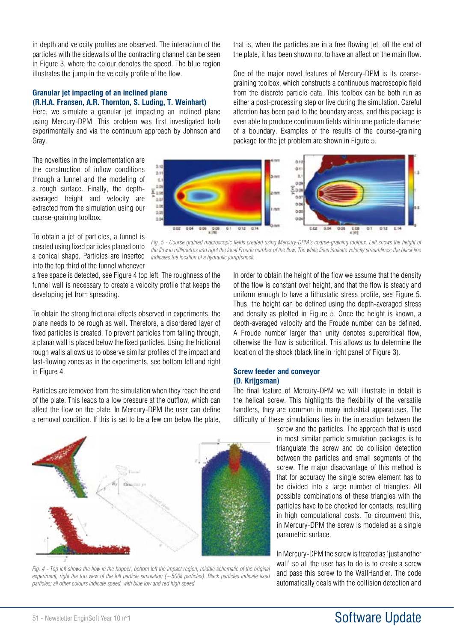in depth and velocity profiles are observed. The interaction of the particles with the sidewalls of the contracting channel can be seen in Figure 3, where the colour denotes the speed. The blue region illustrates the jump in the velocity profile of the flow.

### **Granular jet impacting of an inclined plane (R.H.A. Fransen, A.R. Thornton, S. Luding, T. Weinhart)**

Here, we simulate a granular jet impacting an inclined plane using Mercury-DPM. This problem was first investigated both experimentally and via the continuum approach by Johnson and Gray.

The novelties in the implementation are the construction of inflow conditions through a funnel and the modeling of a rough surface. Finally, the depthaveraged height and velocity are extracted from the simulation using our coarse-graining toolbox.

that is, when the particles are in a free flowing jet, off the end of the plate, it has been shown not to have an affect on the main flow.

One of the major novel features of Mercury-DPM is its coarsegraining toolbox, which constructs a continuous macroscopic field from the discrete particle data. This toolbox can be both run as either a post-processing step or live during the simulation. Careful attention has been paid to the boundary areas, and this package is even able to produce continuum fields within one particle diameter of a boundary. Examples of the results of the course-graining package for the jet problem are shown in Figure 5.



*Fig. 5 - Course grained macroscopic fields created using Mercury-DPM's coarse-graining toolbox. Left shows the height of the flow in millimetres and right the local Froude number of the flow. The white lines indicate velocity streamlines; the black line* 

To obtain a jet of particles, a funnel is created using fixed particles placed onto a conical shape. Particles are inserted into the top third of the funnel whenever

a free space is detected, see Figure 4 top left. The roughness of the funnel wall is necessary to create a velocity profile that keeps the developing jet from spreading.

*indicates the location of a hydraulic jump/shock.*

To obtain the strong frictional effects observed in experiments, the plane needs to be rough as well. Therefore, a disordered layer of fixed particles is created. To prevent particles from falling through, a planar wall is placed below the fixed particles. Using the frictional rough walls allows us to observe similar profiles of the impact and fast-flowing zones as in the experiments, see bottom left and right in Figure 4.

Particles are removed from the simulation when they reach the end of the plate. This leads to a low pressure at the outflow, which can affect the flow on the plate. In Mercury-DPM the user can define a removal condition. If this is set to be a few cm below the plate,

In order to obtain the height of the flow we assume that the density of the flow is constant over height, and that the flow is steady and uniform enough to have a lithostatic stress profile, see Figure 5. Thus, the height can be defined using the depth-averaged stress and density as plotted in Figure 5. Once the height is known, a depth-averaged velocity and the Froude number can be defined. A Froude number larger than unity denotes supercritical flow, otherwise the flow is subcritical. This allows us to determine the location of the shock (black line in right panel of Figure 3).

### **Screw feeder and conveyor (D. Krijgsman)**

The final feature of Mercury-DPM we will illustrate in detail is the helical screw. This highlights the flexibility of the versatile handlers, they are common in many industrial apparatuses. The difficulty of these simulations lies in the interaction between the

> screw and the particles. The approach that is used in most similar particle simulation packages is to triangulate the screw and do collision detection between the particles and small segments of the screw. The major disadvantage of this method is that for accuracy the single screw element has to be divided into a large number of triangles. All possible combinations of these triangles with the particles have to be checked for contacts, resulting in high computational costs. To circumvent this, in Mercury-DPM the screw is modeled as a single parametric surface.

> In Mercury-DPM the screw is treated as 'just another wall' so all the user has to do is to create a screw and pass this screw to the WallHandler. The code automatically deals with the collision detection and



*Fig. 4 - Top left shows the flow in the hopper, bottom left the impact region, middle schematic of the original experiment, right the top view of the full particle simulation (~500k particles). Black particles indicate fixed particles; all other colours indicate speed, with blue low and red high speed.*

### 51 - Newsletter EnginSoft Year 10 n°1 Software Update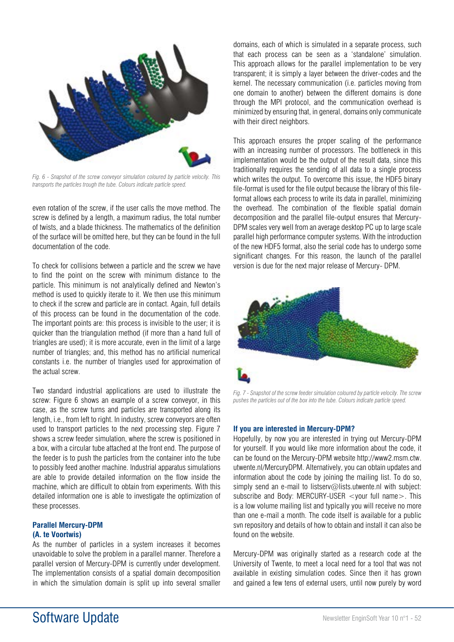

*Fig. 6 - Snapshot of the screw conveyor simulation coloured by particle velocity. This transports the particles trough the tube. Colours indicate particle speed.*

even rotation of the screw, if the user calls the move method. The screw is defined by a length, a maximum radius, the total number of twists, and a blade thickness. The mathematics of the definition of the surface will be omitted here, but they can be found in the full documentation of the code.

To check for collisions between a particle and the screw we have to find the point on the screw with minimum distance to the particle. This minimum is not analytically defined and Newton's method is used to quickly iterate to it. We then use this minimum to check if the screw and particle are in contact. Again, full details of this process can be found in the documentation of the code. The important points are: this process is invisible to the user; it is quicker than the triangulation method (if more than a hand full of triangles are used); it is more accurate, even in the limit of a large number of triangles; and, this method has no artificial numerical constants i.e. the number of triangles used for approximation of the actual screw.

Two standard industrial applications are used to illustrate the screw: Figure 6 shows an example of a screw conveyor, in this case, as the screw turns and particles are transported along its length, i.e., from left to right. In industry, screw conveyors are often used to transport particles to the next processing step. Figure 7 shows a screw feeder simulation, where the screw is positioned in a box, with a circular tube attached at the front end. The purpose of the feeder is to push the particles from the container into the tube to possibly feed another machine. Industrial apparatus simulations are able to provide detailed information on the flow inside the machine, which are difficult to obtain from experiments. With this detailed information one is able to investigate the optimization of these processes.

### **Parallel Mercury-DPM**

### **(A. te Voortwis)**

As the number of particles in a system increases it becomes unavoidable to solve the problem in a parallel manner. Therefore a parallel version of Mercury-DPM is currently under development. The implementation consists of a spatial domain decomposition in which the simulation domain is split up into several smaller

domains, each of which is simulated in a separate process, such that each process can be seen as a 'standalone' simulation. This approach allows for the parallel implementation to be very transparent; it is simply a layer between the driver-codes and the kernel. The necessary communication (i.e. particles moving from one domain to another) between the different domains is done through the MPI protocol, and the communication overhead is minimized by ensuring that, in general, domains only communicate with their direct neighbors.

This approach ensures the proper scaling of the performance with an increasing number of processors. The bottleneck in this implementation would be the output of the result data, since this traditionally requires the sending of all data to a single process which writes the output. To overcome this issue, the HDF5 binary file-format is used for the file output because the library of this fileformat allows each process to write its data in parallel, minimizing the overhead. The combination of the flexible spatial domain decomposition and the parallel file-output ensures that Mercury-DPM scales very well from an average desktop PC up to large scale parallel high performance computer systems. With the introduction of the new HDF5 format, also the serial code has to undergo some significant changes. For this reason, the launch of the parallel version is due for the next major release of Mercury- DPM.



*Fig. 7 - Snapshot of the screw feeder simulation coloured by particle velocity. The screw pushes the particles out of the box into the tube. Colours indicate particle speed.*

### **If you are interested in Mercury-DPM?**

Hopefully, by now you are interested in trying out Mercury-DPM for yourself. If you would like more information about the code, it can be found on the Mercury-DPM website http://www2.msm.ctw. utwente.nl/MercuryDPM. Alternatively, you can obtain updates and information about the code by joining the mailing list. To do so, simply send an e-mail to listserv@lists.utwente.nl with subject: subscribe and Body: MERCURY-USER <your full name>. This is a low volume mailing list and typically you will receive no more than one e-mail a month. The code itself is available for a public svn repository and details of how to obtain and install it can also be found on the website.

Mercury-DPM was originally started as a research code at the University of Twente, to meet a local need for a tool that was not available in existing simulation codes. Since then it has grown and gained a few tens of external users, until now purely by word